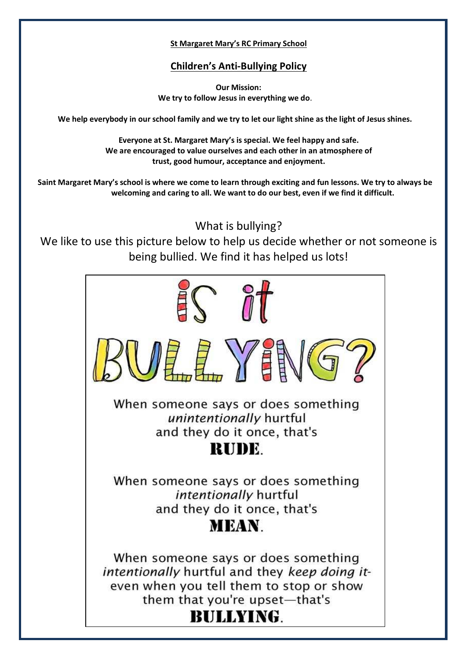#### **St Margaret Mary's RC Primary School**

### **Children's Anti-Bullying Policy**

**Our Mission: We try to follow Jesus in everything we do**.

**We help everybody in our school family and we try to let our light shine as the light of Jesus shines.**

**Everyone at St. Margaret Mary's is special. We feel happy and safe. We are encouraged to value ourselves and each other in an atmosphere of trust, good humour, acceptance and enjoyment.** 

**Saint Margaret Mary's school is where we come to learn through exciting and fun lessons. We try to always be welcoming and caring to all. We want to do our best, even if we find it difficult.** 

What is bullying?

We like to use this picture below to help us decide whether or not someone is being bullied. We find it has helped us lots!

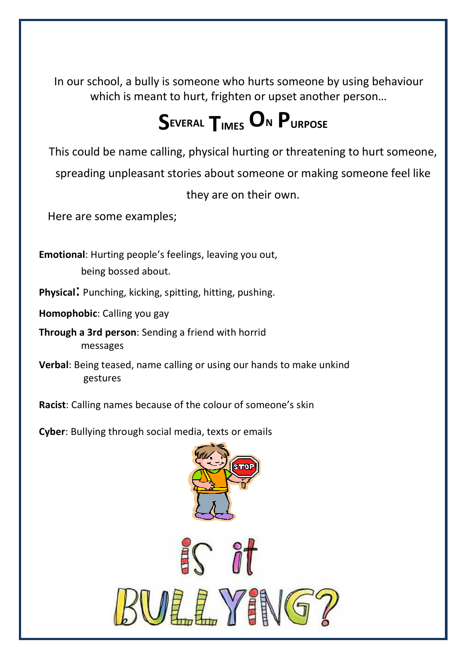In our school, a bully is someone who hurts someone by using behaviour which is meant to hurt, frighten or upset another person…

# **SEVERAL TIMES ON PURPOSE**

This could be name calling, physical hurting or threatening to hurt someone,

spreading unpleasant stories about someone or making someone feel like

they are on their own.

Here are some examples;

**Emotional**: Hurting people's feelings, leaving you out, being bossed about.

**Physical**: Punching, kicking, spitting, hitting, pushing.

**Homophobic**: Calling you gay

**Through a 3rd person**: Sending a friend with horrid messages

**Verbal**: Being teased, name calling or using our hands to make unkind gestures

**Racist**: Calling names because of the colour of someone's skin

**Cyber**: Bullying through social media, texts or emails



![](_page_1_Picture_14.jpeg)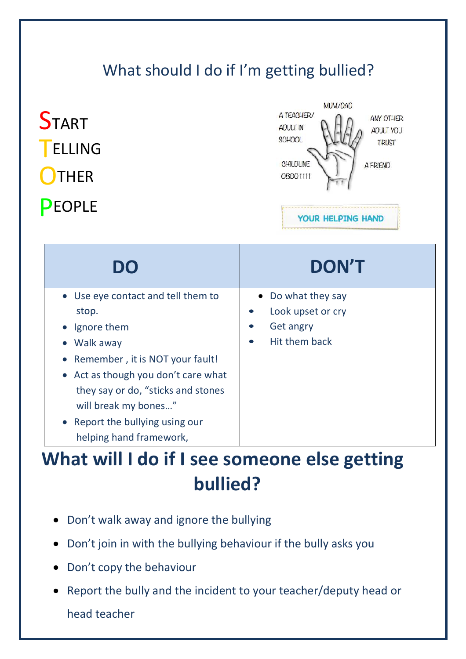### What should I do if I'm getting bullied?

| <b>ELLING</b><br><b>THER</b><br>PEOPLE | SCHOOL<br><b>TRUST</b><br><b>CHILDLINE</b><br><b>A FRIEND</b><br>08001111<br>YOUR HELPING HAND |
|----------------------------------------|------------------------------------------------------------------------------------------------|
| <b>DO</b>                              | <b>DON'T</b>                                                                                   |

| I J I J                             | LAUTRA 1                       |
|-------------------------------------|--------------------------------|
| • Use eye contact and tell them to  | • Do what they say             |
| stop.                               | Look upset or cry<br>$\bullet$ |
| Ignore them                         | <b>Get angry</b><br>$\bullet$  |
| Walk away                           | Hit them back<br>$\bullet$     |
| • Remember, it is NOT your fault!   |                                |
| • Act as though you don't care what |                                |
| they say or do, "sticks and stones  |                                |
| will break my bones"                |                                |
| • Report the bullying using our     |                                |
| helping hand framework,             |                                |

## **What will I do if I see someone else getting bullied?**

- Don't walk away and ignore the bullying
- Don't join in with the bullying behaviour if the bully asks you
- Don't copy the behaviour
- Report the bully and the incident to your teacher/deputy head or

head teacher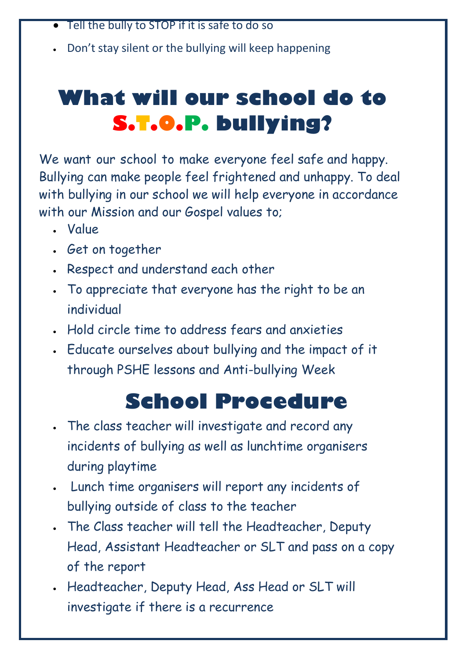- Tell the bully to STOP if it is safe to do so
- Don't stay silent or the bullying will keep happening

# **What will our school do to S.T.O.P. bullying?**

We want our school to make everyone feel safe and happy. Bullying can make people feel frightened and unhappy. To deal with bullying in our school we will help everyone in accordance with our Mission and our Gospel values to;

- Value
- Get on together
- Respect and understand each other
- To appreciate that everyone has the right to be an individual
- Hold circle time to address fears and anxieties
- Educate ourselves about bullying and the impact of it through PSHE lessons and Anti-bullying Week

# **School Procedure**

- The class teacher will investigate and record any incidents of bullying as well as lunchtime organisers during playtime
- Lunch time organisers will report any incidents of bullying outside of class to the teacher
- The Class teacher will tell the Headteacher, Deputy Head, Assistant Headteacher or SLT and pass on a copy of the report
- Headteacher, Deputy Head, Ass Head or SLT will investigate if there is a recurrence